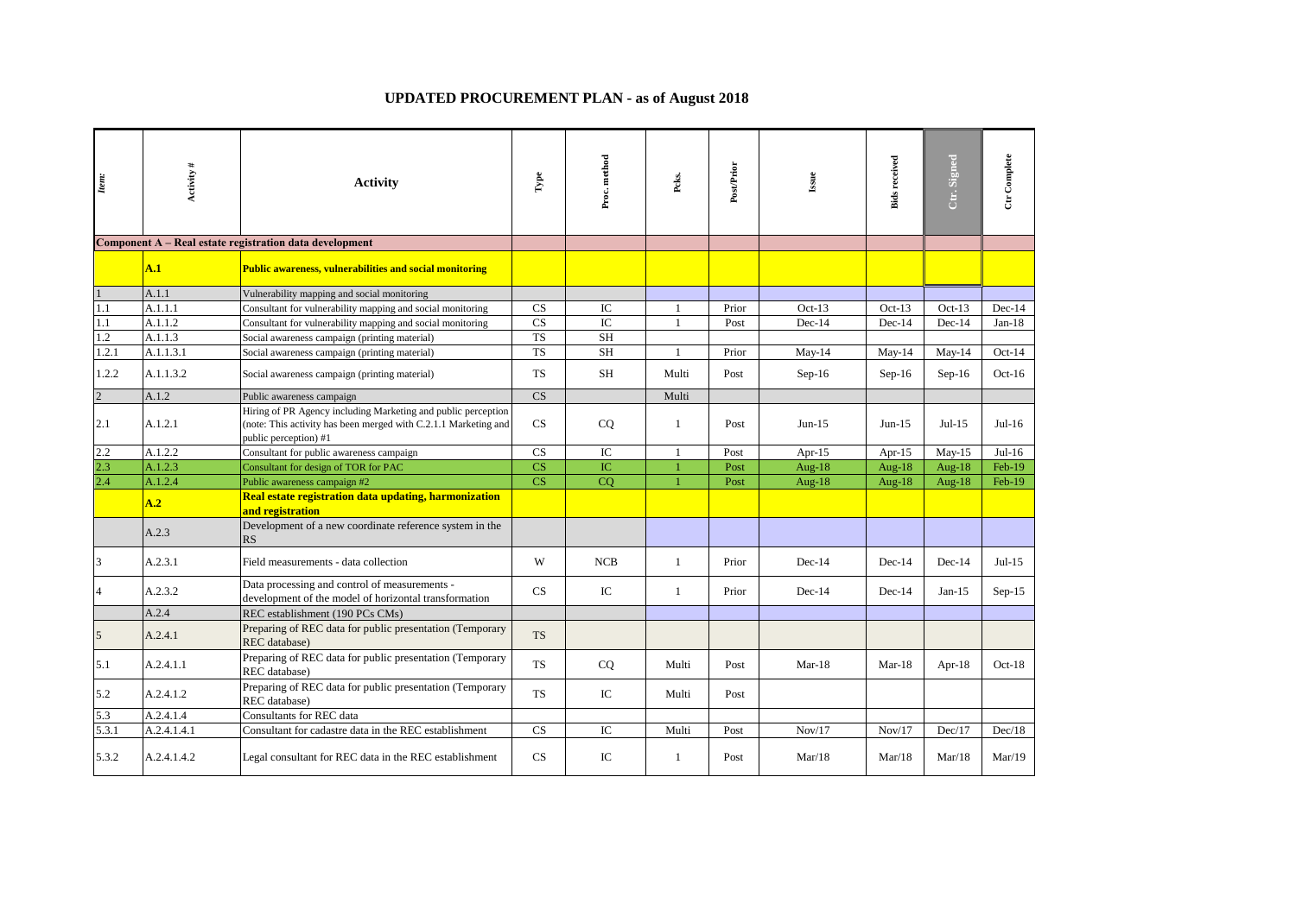## **UPDATED PROCUREMENT PLAN - as of August 2018**

| Item:          | Activity#   | <b>Activity</b>                                                                                                                                           | $_{\rm Iype}$          | Proc. method    | Peks.        | Post/Prior | Issue     | <b>Bids received</b> | Ctr. Signed | Ctr Complete |
|----------------|-------------|-----------------------------------------------------------------------------------------------------------------------------------------------------------|------------------------|-----------------|--------------|------------|-----------|----------------------|-------------|--------------|
|                |             | Component A – Real estate registration data development                                                                                                   |                        |                 |              |            |           |                      |             |              |
|                | A.1         | <b>Public awareness, vulnerabilities and social monitoring</b>                                                                                            |                        |                 |              |            |           |                      |             |              |
|                | A.1.1       | Vulnerability mapping and social monitoring                                                                                                               |                        |                 |              |            |           |                      |             |              |
| 1.1            | A.1.1.1     | Consultant for vulnerability mapping and social monitoring                                                                                                | CS                     | IC              | 1            | Prior      | $Oct-13$  | $Oct-13$             | $Oct-13$    | $Dec-14$     |
| 1.1            | A.1.1.2     | Consultant for vulnerability mapping and social monitoring                                                                                                | $\overline{\text{CS}}$ | $\overline{IC}$ | 1            | Post       | Dec-14    | Dec-14               | Dec-14      | $Jan-18$     |
| 1.2            | A.1.1.3     | Social awareness campaign (printing material)                                                                                                             | $\overline{\text{TS}}$ | <b>SH</b>       |              |            |           |                      |             |              |
| 1.2.1          | A.1.1.3.1   | Social awareness campaign (printing material)                                                                                                             | <b>TS</b>              | <b>SH</b>       | $\mathbf{1}$ | Prior      | $May-14$  | $May-14$             | $May-14$    | $Oct-14$     |
| 1.2.2          | A.1.1.3.2   | Social awareness campaign (printing material)                                                                                                             | TS                     | SH              | Multi        | Post       | $Sep-16$  | $Sep-16$             | $Sep-16$    | $Oct-16$     |
| $\overline{2}$ | A.1.2       | Public awareness campaign                                                                                                                                 | $\overline{\text{CS}}$ |                 | Multi        |            |           |                      |             |              |
| 2.1            | A.1.2.1     | Hiring of PR Agency including Marketing and public perception<br>(note: This activity has been merged with C.2.1.1 Marketing and<br>public perception) #1 | CS                     | CQ              | 1            | Post       | $Jun-15$  | $Jun-15$             | $Jul-15$    | $Jul-16$     |
| 2.2            | A.1.2.2     | Consultant for public awareness campaign                                                                                                                  | CS                     | IC              | $\mathbf{1}$ | Post       | Apr- $15$ | Apr- $15$            | $May-15$    | $Jul-16$     |
| 2.3            | A.1.2.3     | Consultant for design of TOR for PAC                                                                                                                      | CS                     | IC              | 1            | Post       | Aug- $18$ | Aug-18               | Aug- $18$   | $Feb-19$     |
| 2.4            | A.1.2.4     | Public awareness campaign #2                                                                                                                              | $\overline{\text{CS}}$ | CO              | $\mathbf{1}$ | Post       | Aug-18    | Aug-18               | Aug- $18$   | $Feb-19$     |
|                | A.2         | Real estate registration data updating, harmonization<br>and registration                                                                                 |                        |                 |              |            |           |                      |             |              |
|                | A.2.3       | Development of a new coordinate reference system in the<br>RS                                                                                             |                        |                 |              |            |           |                      |             |              |
| 3              | A.2.3.1     | Field measurements - data collection                                                                                                                      | W                      | <b>NCB</b>      | 1            | Prior      | Dec-14    | $Dec-14$             | $Dec-14$    | $Jul-15$     |
| $\overline{4}$ | A.2.3.2     | Data processing and control of measurements -<br>development of the model of horizontal transformation                                                    | CS                     | IC              | $\mathbf{1}$ | Prior      | $Dec-14$  | $Dec-14$             | $Jan-15$    | $Sep-15$     |
|                | A.2.4       | REC establishment (190 PCs CMs)                                                                                                                           |                        |                 |              |            |           |                      |             |              |
| 5              | A.2.4.1     | Preparing of REC data for public presentation (Temporary<br>REC database)                                                                                 | <b>TS</b>              |                 |              |            |           |                      |             |              |
| 5.1            | A.2.4.1.1   | Preparing of REC data for public presentation (Temporary<br>REC database)                                                                                 | <b>TS</b>              | CQ              | Multi        | Post       | $Mar-18$  | $Mar-18$             | Apr- $18$   | $Oct-18$     |
| 5.2            | A.2.4.1.2   | Preparing of REC data for public presentation (Temporary<br>REC database)                                                                                 | <b>TS</b>              | IC              | Multi        | Post       |           |                      |             |              |
| 5.3            | A.2.4.1.4   | Consultants for REC data                                                                                                                                  |                        |                 |              |            |           |                      |             |              |
| 5.3.1          | A.2.4.1.4.1 | Consultant for cadastre data in the REC establishment                                                                                                     | CS                     | IC              | Multi        | Post       | Nov/17    | Nov/17               | Dec/17      | Dec/18       |
| 5.3.2          | A.2.4.1.4.2 | Legal consultant for REC data in the REC establishment                                                                                                    | CS                     | IC              | 1            | Post       | Mar/18    | Mar/18               | Mar/18      | Mar/19       |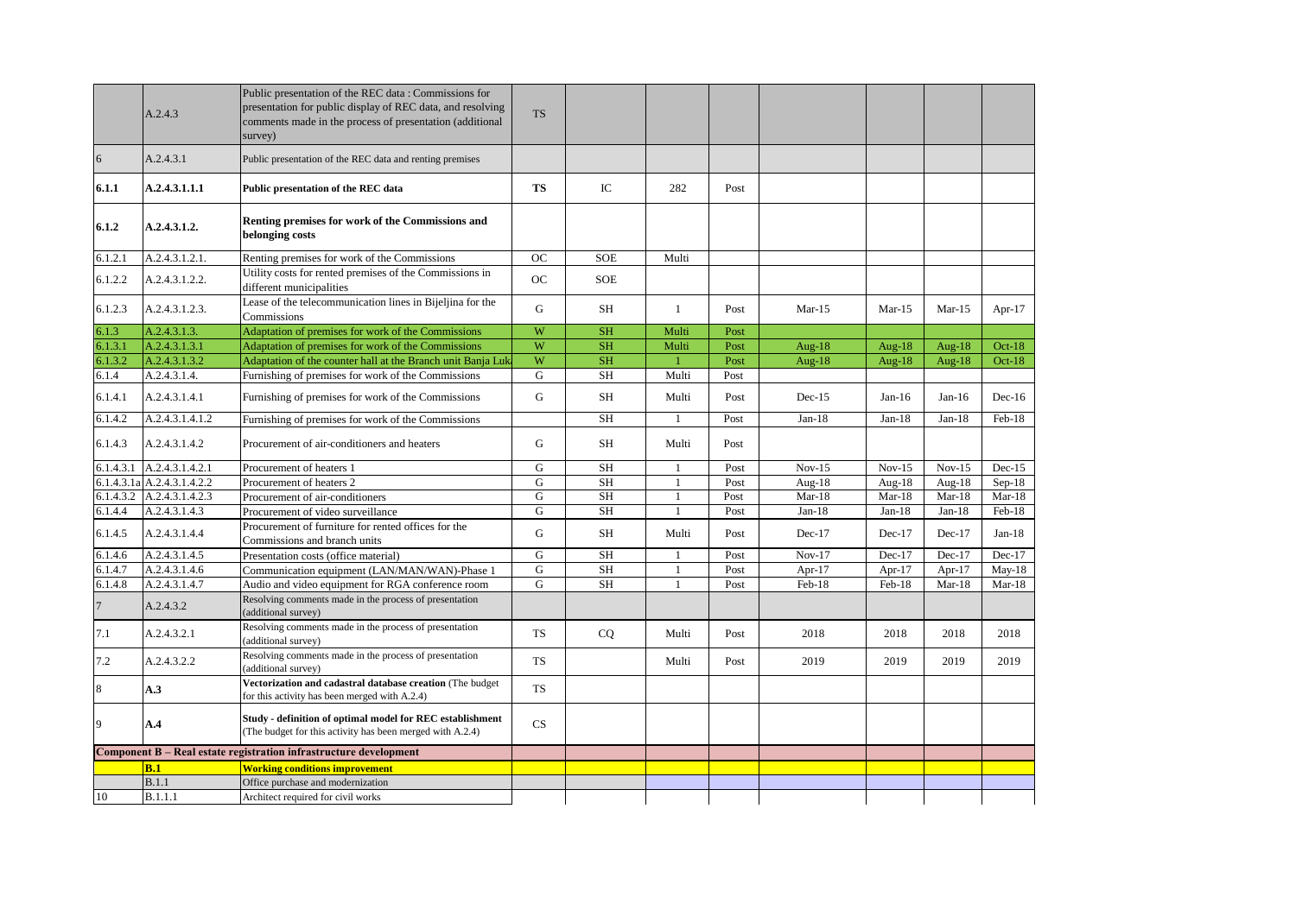|           | A.2.4.3                    | Public presentation of the REC data: Commissions for<br>presentation for public display of REC data, and resolving<br>comments made in the process of presentation (additional<br>survey) | <b>TS</b> |            |              |      |          |           |          |           |
|-----------|----------------------------|-------------------------------------------------------------------------------------------------------------------------------------------------------------------------------------------|-----------|------------|--------------|------|----------|-----------|----------|-----------|
| 6         | A.2.4.3.1                  | Public presentation of the REC data and renting premises                                                                                                                                  |           |            |              |      |          |           |          |           |
| 6.1.1     | A.2.4.3.1.1.1              | Public presentation of the REC data                                                                                                                                                       | <b>TS</b> | IC         | 282          | Post |          |           |          |           |
| 6.1.2     | A.2.4.3.1.2.               | Renting premises for work of the Commissions and<br>belonging costs                                                                                                                       |           |            |              |      |          |           |          |           |
| 6.1.2.1   | A.2.4.3.1.2.1.             | Renting premises for work of the Commissions                                                                                                                                              | <b>OC</b> | <b>SOE</b> | Multi        |      |          |           |          |           |
| 6.1.2.2   | A.2.4.3.1.2.2.             | Utility costs for rented premises of the Commissions in<br>different municipalities                                                                                                       | <b>OC</b> | <b>SOE</b> |              |      |          |           |          |           |
| 6.1.2.3   | A.2.4.3.1.2.3.             | Lease of the telecommunication lines in Bijeljina for the<br>Commissions                                                                                                                  | G         | <b>SH</b>  | $\mathbf{1}$ | Post | $Mar-15$ | $Mar-15$  | $Mar-15$ | Apr- $17$ |
| 6.1.3     | A.2.4.3.1.3.               | Adaptation of premises for work of the Commissions                                                                                                                                        | W         | <b>SH</b>  | Multi        | Post |          |           |          |           |
| 6.1.3.1   | A.2.4.3.1.3.1              | Adaptation of premises for work of the Commissions                                                                                                                                        | W         | <b>SH</b>  | Multi        | Post | Aug-18   | Aug-18    | Aug-18   | $Oct-18$  |
| 6.1.3.2   | A.2.4.3.1.3.2              | Adaptation of the counter hall at the Branch unit Banja Luka                                                                                                                              | W         | SH         |              | Post | Aug-18   | Aug- $18$ | Aug-18   | $Oct-18$  |
| 6.1.4     | A.2.4.3.1.4.               | Furnishing of premises for work of the Commissions                                                                                                                                        | ${\bf G}$ | <b>SH</b>  | Multi        | Post |          |           |          |           |
| 6.1.4.1   | A.2.4.3.1.4.1              | Furnishing of premises for work of the Commissions                                                                                                                                        | G         | <b>SH</b>  | Multi        | Post | $Dec-15$ | $Jan-16$  | $Jan-16$ | $Dec-16$  |
| 6.1.4.2   | A.2.4.3.1.4.1.2            | Furnishing of premises for work of the Commissions                                                                                                                                        |           | <b>SH</b>  | 1            | Post | $Jan-18$ | $Jan-18$  | $Jan-18$ | Feb-18    |
| 6.1.4.3   | A.2.4.3.1.4.2              | Procurement of air-conditioners and heaters                                                                                                                                               | G         | SH         | Multi        | Post |          |           |          |           |
| 6.1.4.3.1 | A.2.4.3.1.4.2.1            | Procurement of heaters 1                                                                                                                                                                  | G         | <b>SH</b>  | 1            | Post | $Nov-15$ | $Nov-15$  | $Nov-15$ | $Dec-15$  |
|           | 6.1.4.3.1a A.2.4.3.1.4.2.2 | Procurement of heaters 2                                                                                                                                                                  | G         | <b>SH</b>  | $\mathbf{1}$ | Post | Aug-18   | Aug-18    | Aug-18   | $Sep-18$  |
| 6.1.4.3.2 | A.2.4.3.1.4.2.3            | Procurement of air-conditioners                                                                                                                                                           | G         | <b>SH</b>  | 1            | Post | $Mar-18$ | $Mar-18$  | $Mar-18$ | $Mar-18$  |
| 6.1.4.4   | A.2.4.3.1.4.3              | Procurement of video surveillance                                                                                                                                                         | G         | <b>SH</b>  | $\mathbf{1}$ | Post | $Jan-18$ | $Jan-18$  | $Jan-18$ | Feb-18    |
| 6.1.4.5   | A.2.4.3.1.4.4              | Procurement of furniture for rented offices for the<br>Commissions and branch units                                                                                                       | G         | <b>SH</b>  | Multi        | Post | $Dec-17$ | $Dec-17$  | Dec-17   | $Jan-18$  |
| 6.1.4.6   | A.2.4.3.1.4.5              | Presentation costs (office material)                                                                                                                                                      | G         | <b>SH</b>  | $\mathbf{1}$ | Post | Nov-17   | Dec-17    | Dec-17   | $Dec-17$  |
| 6.1.4.7   | A.2.4.3.1.4.6              | Communication equipment (LAN/MAN/WAN)-Phase 1                                                                                                                                             | G         | <b>SH</b>  | $\mathbf{1}$ | Post | Apr-17   | Apr-17    | Apr-17   | $May-18$  |
| 6.1.4.8   | A.2.4.3.1.4.7              | Audio and video equipment for RGA conference room                                                                                                                                         | G         | <b>SH</b>  | $\mathbf{1}$ | Post | Feb-18   | Feb-18    | $Mar-18$ | $Mar-18$  |
| 7         | A.2.4.3.2                  | Resolving comments made in the process of presentation<br>(additional survey)                                                                                                             |           |            |              |      |          |           |          |           |
| 7.1       | A.2.4.3.2.1                | Resolving comments made in the process of presentation<br>(additional survey)                                                                                                             | <b>TS</b> | CQ         | Multi        | Post | 2018     | 2018      | 2018     | 2018      |
| 7.2       | A.2.4.3.2.2                | Resolving comments made in the process of presentation<br>(additional survey)                                                                                                             | <b>TS</b> |            | Multi        | Post | 2019     | 2019      | 2019     | 2019      |
| 8         | A.3                        | Vectorization and cadastral database creation (The budget<br>for this activity has been merged with A.2.4)                                                                                | <b>TS</b> |            |              |      |          |           |          |           |
| 9         | A.4                        | Study - definition of optimal model for REC establishment<br>(The budget for this activity has been merged with A.2.4)                                                                    | CS        |            |              |      |          |           |          |           |
|           |                            | Component B - Real estate registration infrastructure development                                                                                                                         |           |            |              |      |          |           |          |           |
|           | B.1                        | <b>Working conditions improvement</b>                                                                                                                                                     |           |            |              |      |          |           |          |           |
|           | B.1.1                      | Office purchase and modernization                                                                                                                                                         |           |            |              |      |          |           |          |           |
| 10        | B.1.1.1                    | Architect required for civil works                                                                                                                                                        |           |            |              |      |          |           |          |           |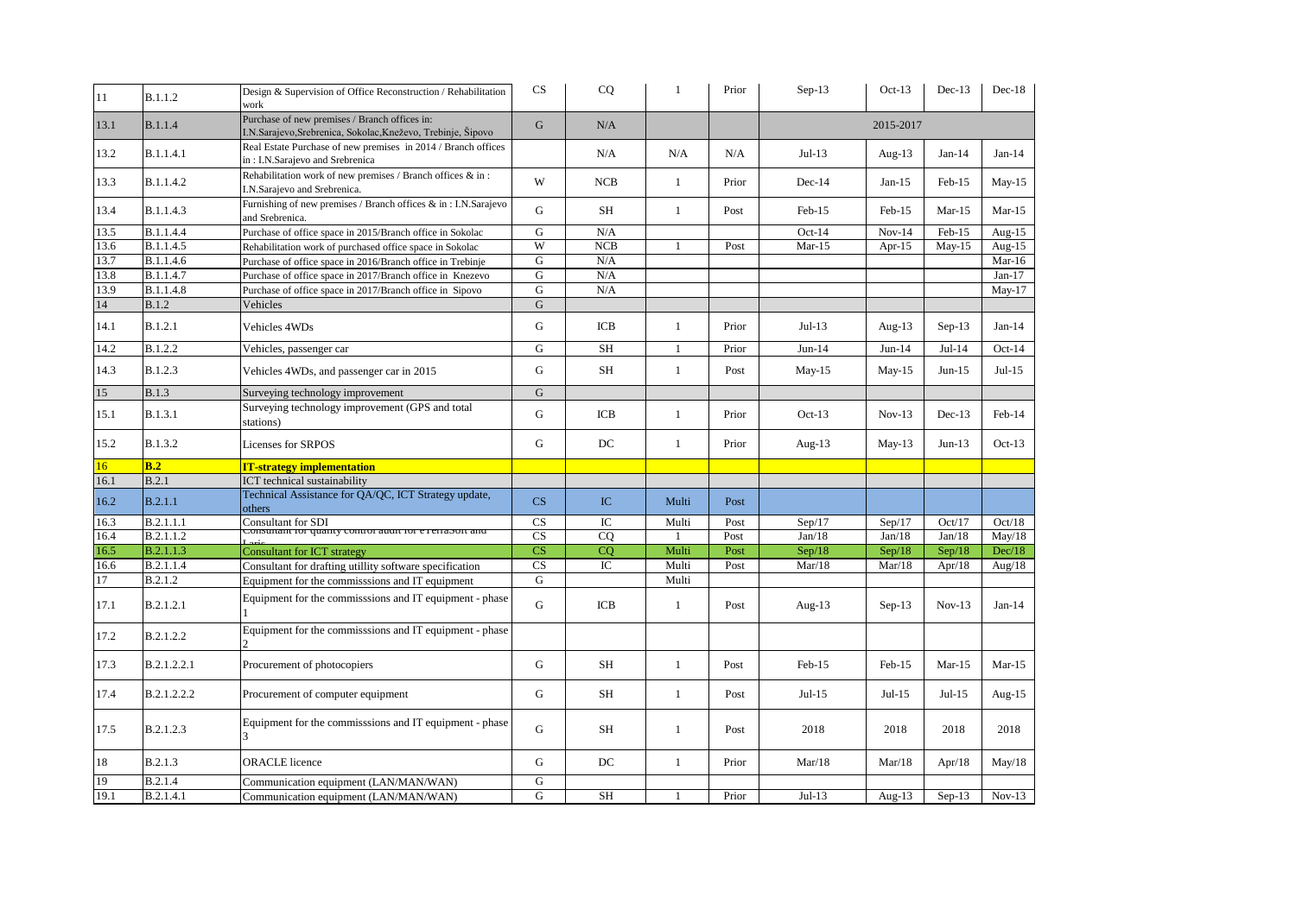| 11   | <b>B.1.1.2</b>   | Design & Supervision of Office Reconstruction / Rehabilitation<br>work                                        | CS        | CQ          | $\mathbf{1}$ | Prior | $Sep-13$  | $Oct-13$  | $Dec-13$ | $Dec-18$  |  |
|------|------------------|---------------------------------------------------------------------------------------------------------------|-----------|-------------|--------------|-------|-----------|-----------|----------|-----------|--|
| 13.1 | <b>B.1.1.4</b>   | Purchase of new premises / Branch offices in:<br>I.N.Sarajevo, Srebrenica, Sokolac, Kneževo, Trebinje, Šipovo | G         | N/A         |              |       | 2015-2017 |           |          |           |  |
| 13.2 | B.1.1.4.1        | Real Estate Purchase of new premises in 2014 / Branch offices<br>in: I.N.Sarajevo and Srebrenica              |           | N/A         | N/A          | N/A   | $Jul-13$  | Aug- $13$ | $Jan-14$ | $Jan-14$  |  |
| 13.3 | B.1.1.4.2        | Rehabilitation work of new premises / Branch offices & in :<br>I.N.Sarajevo and Srebrenica.                   | W         | <b>NCB</b>  | $\mathbf{1}$ | Prior | Dec-14    | $Jan-15$  | Feb-15   | $May-15$  |  |
| 13.4 | B.1.1.4.3        | Furnishing of new premises / Branch offices & in: I.N.Sarajevo<br>and Srebrenica.                             | G         | SH          | $\mathbf{1}$ | Post  | $Feb-15$  | Feb-15    | $Mar-15$ | $Mar-15$  |  |
| 13.5 | B.1.1.4.4        | Purchase of office space in 2015/Branch office in Sokolac                                                     | G         | N/A         |              |       | $Oct-14$  | $Nov-14$  | Feb-15   | Aug- $15$ |  |
| 13.6 | B.1.1.4.5        | Rehabilitation work of purchased office space in Sokolac                                                      | W         | NCB         |              | Post  | $Mar-15$  | Apr- $15$ | $May-15$ | Aug- $15$ |  |
| 13.7 | B.1.1.4.6        | Purchase of office space in 2016/Branch office in Trebinje                                                    | G         | N/A         |              |       |           |           |          | $Mar-16$  |  |
| 13.8 | B.1.1.4.7        | Purchase of office space in 2017/Branch office in Knezevo                                                     | G         | N/A         |              |       |           |           |          | $Jan-17$  |  |
| 13.9 | B.1.1.4.8        | Purchase of office space in 2017/Branch office in Sipovo                                                      | G         | N/A         |              |       |           |           |          | $May-17$  |  |
| 14   | <b>B.1.2</b>     | Vehicles                                                                                                      | G         |             |              |       |           |           |          |           |  |
| 14.1 | <b>B.1.2.1</b>   | Vehicles 4WDs                                                                                                 | G         | ICB         | 1            | Prior | $Jul-13$  | Aug- $13$ | $Sep-13$ | $Jan-14$  |  |
| 14.2 | B.1.2.2          | Vehicles, passenger car                                                                                       | G         | <b>SH</b>   | $\mathbf{1}$ | Prior | $Jun-14$  | $Jun-14$  | $Jul-14$ | $Oct-14$  |  |
| 14.3 | <b>B.1.2.3</b>   | Vehicles 4WDs, and passenger car in 2015                                                                      | G         | SH          | $\mathbf{1}$ | Post  | $May-15$  | $May-15$  | $Jun-15$ | $Jul-15$  |  |
| 15   | <b>B.1.3</b>     | Surveying technology improvement                                                                              | G         |             |              |       |           |           |          |           |  |
| 15.1 | B.1.3.1          | Surveying technology improvement (GPS and total<br>stations)                                                  | G         | ICB         | $\mathbf{1}$ | Prior | $Oct-13$  | $Nov-13$  | $Dec-13$ | Feb-14    |  |
| 15.2 | B.1.3.2          | Licenses for SRPOS                                                                                            | G         | DC          | $\mathbf{1}$ | Prior | Aug- $13$ | $May-13$  | $Jun-13$ | $Oct-13$  |  |
| 16   | B.2              | <b>IT-strategy implementation</b>                                                                             |           |             |              |       |           |           |          |           |  |
| 16.1 | B.2.1            | ICT technical sustainability                                                                                  |           |             |              |       |           |           |          |           |  |
| 16.2 | B.2.1.1          | Technical Assistance for QA/QC, ICT Strategy update,<br>others                                                | CS        | IC          | Multi        | Post  |           |           |          |           |  |
| 16.3 | B.2.1.1.1        | Consultant for SDI                                                                                            | CS        | IC          | Multi        | Post  | Sep/17    | Sep/17    | Oct/17   | Oct/18    |  |
| 16.4 | B.2.1.1.2        | Consunant for quanty control audit for exertason and                                                          | CS        | CO          |              | Post  | Jan/18    | Jan/18    | Jan/18   | May/18    |  |
| 16.5 | <b>B.2.1.1.3</b> | <b>Consultant for ICT strategy</b>                                                                            | CS        | CQ          | Multi        | Post  | Sep/18    | Sep/18    | Sep/18   | Dec/18    |  |
| 16.6 | B.2.1.1.4        | Consultant for drafting utillity software specification                                                       | CS        | $_{\rm IC}$ | Multi        | Post  | Mar/18    | Mar/18    | Apr/18   | Aug/ $18$ |  |
| 17   | <b>B.2.1.2</b>   | Equipment for the commisssions and IT equipment                                                               | G         |             | Multi        |       |           |           |          |           |  |
| 17.1 | B.2.1.2.1        | Equipment for the commisssions and IT equipment - phase                                                       | G         | ICB         | $\mathbf{1}$ | Post  | Aug- $13$ | $Sep-13$  | $Nov-13$ | $Jan-14$  |  |
| 17.2 | B.2.1.2.2        | Equipment for the commisssions and IT equipment - phase                                                       |           |             |              |       |           |           |          |           |  |
| 17.3 | B.2.1.2.2.1      | Procurement of photocopiers                                                                                   | G         | <b>SH</b>   | $\mathbf{1}$ | Post  | Feb-15    | Feb-15    | $Mar-15$ | $Mar-15$  |  |
| 17.4 | B.2.1.2.2.2      | Procurement of computer equipment                                                                             | G         | SH          | $\mathbf{1}$ | Post  | $Jul-15$  | $Jul-15$  | $Jul-15$ | Aug-15    |  |
| 17.5 | B.2.1.2.3        | Equipment for the commissions and IT equipment - phase                                                        | G         | <b>SH</b>   | $\mathbf{1}$ | Post  | 2018      | 2018      | 2018     | 2018      |  |
| 18   | <b>B.2.1.3</b>   | <b>ORACLE</b> licence                                                                                         | G         | DC          | $\mathbf{1}$ | Prior | Mar/18    | Mar/18    | Apr/18   | May/18    |  |
| 19   | <b>B.2.1.4</b>   | Communication equipment (LAN/MAN/WAN)                                                                         | ${\bf G}$ |             |              |       |           |           |          |           |  |
| 19.1 | B.2.1.4.1        | Communication equipment (LAN/MAN/WAN)                                                                         | G         | SH          | 1            | Prior | $Jul-13$  | Aug- $13$ | $Sep-13$ | $Nov-13$  |  |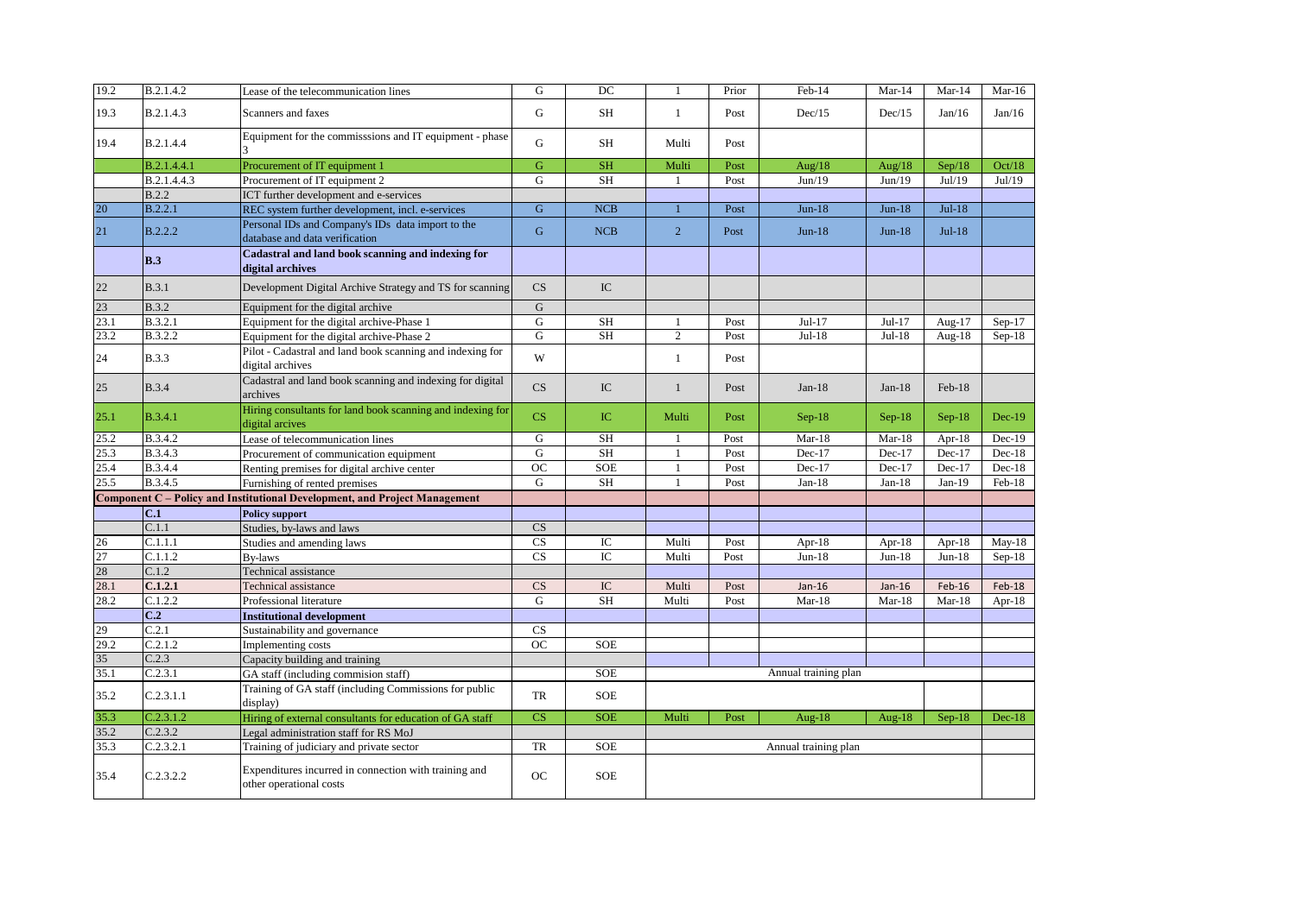| 19.2 | B.2.1.4.2      | Lease of the telecommunication lines                                                | G           | DC         | $\mathbf{1}$   | Prior | Feb-14               | Mar-14    | $Mar-14$  | $Mar-16$ |
|------|----------------|-------------------------------------------------------------------------------------|-------------|------------|----------------|-------|----------------------|-----------|-----------|----------|
| 19.3 | B.2.1.4.3      | Scanners and faxes                                                                  | G           | SH         | $\mathbf{1}$   | Post  | Dec/15               | Dec/15    | Jan/16    | Jan/16   |
| 19.4 | B.2.1.4.4      | Equipment for the commisssions and IT equipment - phase                             | G           | SH         | Multi          | Post  |                      |           |           |          |
|      | B.2.1.4.4.1    | Procurement of IT equipment 1                                                       | G           | <b>SH</b>  | Multi          | Post  | Aug/ $18$            | Aug/ $18$ | Sep/18    | Oct/18   |
|      | B.2.1.4.4.3    | Procurement of IT equipment 2                                                       | G           | <b>SH</b>  | $\mathbf{1}$   | Post  | Jun/19               | Jun/19    | Jul/19    | Jul/19   |
|      | B.2.2          | ICT further development and e-services                                              |             |            |                |       |                      |           |           |          |
| 20   | B.2.2.1        | REC system further development, incl. e-services                                    | G           | <b>NCB</b> |                | Post  | $Jun-18$             | $Jun-18$  | $Jul-18$  |          |
| 21   | <b>B.2.2.2</b> | Personal IDs and Company's IDs data import to the<br>database and data verification | $\mathbf G$ | NCB        | $\overline{2}$ | Post  | $Jun-18$             | $Jun-18$  | $Jul-18$  |          |
|      | B.3            | Cadastral and land book scanning and indexing for<br>digital archives               |             |            |                |       |                      |           |           |          |
| 22   | B.3.1          | Development Digital Archive Strategy and TS for scanning                            | CS          | IC         |                |       |                      |           |           |          |
| 23   | <b>B.3.2</b>   | Equipment for the digital archive                                                   | ${\bf G}$   |            |                |       |                      |           |           |          |
| 23.1 | B.3.2.1        | Equipment for the digital archive-Phase 1                                           | G           | <b>SH</b>  | $\mathbf{1}$   | Post  | $Jul-17$             | Jul-17    | Aug-17    | $Sep-17$ |
| 23.2 | B.3.2.2        | Equipment for the digital archive-Phase 2                                           | G           | <b>SH</b>  | $\overline{c}$ | Post  | $Jul-18$             | Jul-18    | Aug-18    | $Sep-18$ |
| 24   | <b>B.3.3</b>   | Pilot - Cadastral and land book scanning and indexing for<br>digital archives       | W           |            | $\mathbf{1}$   | Post  |                      |           |           |          |
| 25   | <b>B.3.4</b>   | Cadastral and land book scanning and indexing for digital<br>archives               | CS          | IC         | $\mathbf{1}$   | Post  | $Jan-18$             | $Jan-18$  | Feb-18    |          |
| 25.1 | B.3.4.1        | Hiring consultants for land book scanning and indexing for<br>digital arcives       | CS          | IC         | Multi          | Post  | $Sep-18$             | $Sep-18$  | $Sep-18$  | $Dec-19$ |
| 25.2 | B.3.4.2        | Lease of telecommunication lines                                                    | G           | SH         | 1              | Post  | $Mar-18$             | Mar-18    | Apr- $18$ | $Dec-19$ |
| 25.3 | B.3.4.3        | Procurement of communication equipment                                              | G           | <b>SH</b>  | $\mathbf{1}$   | Post  | Dec-17               | $Dec-17$  | Dec-17    | $Dec-18$ |
| 25.4 | B.3.4.4        | Renting premises for digital archive center                                         | <b>OC</b>   | <b>SOE</b> | $\mathbf{1}$   | Post  | Dec-17               | Dec-17    | Dec-17    | $Dec-18$ |
| 25.5 | B.3.4.5        | Furnishing of rented premises                                                       | $\mathbf G$ | <b>SH</b>  | $\mathbf{1}$   | Post  | $Jan-18$             | $Jan-18$  | $Jan-19$  | Feb-18   |
|      |                | Component C - Policy and Institutional Development, and Project Management          |             |            |                |       |                      |           |           |          |
|      | C.1            | <b>Policy support</b>                                                               |             |            |                |       |                      |           |           |          |
|      | C.1.1          | Studies, by-laws and laws                                                           | CS          |            |                |       |                      |           |           |          |
| 26   | C.1.1.1        | Studies and amending laws                                                           | CS          | IC         | Multi          | Post  | Apr-18               | Apr-18    | Apr-18    | $May-18$ |
| 27   | C.1.1.2        | <b>By-laws</b>                                                                      | CS          | IC         | Multi          | Post  | $Jun-18$             | $Jun-18$  | $Jun-18$  | $Sep-18$ |
| 28   | C.1.2          | Technical assistance                                                                |             |            |                |       |                      |           |           |          |
| 28.1 | C.1.2.1        | Technical assistance                                                                | CS          | IC         | Multi          | Post  | $Jan-16$             | $Jan-16$  | Feb-16    | $Feb-18$ |
| 28.2 | C.1.2.2        | Professional literature                                                             | G           | <b>SH</b>  | Multi          | Post  | $Mar-18$             | $Mar-18$  | $Mar-18$  | Apr-18   |
|      | C <sub>2</sub> | <b>Institutional development</b>                                                    |             |            |                |       |                      |           |           |          |
| 29   | C.2.1          | Sustainability and governance                                                       | CS          |            |                |       |                      |           |           |          |
| 29.2 | C.2.1.2        | Implementing costs                                                                  | <b>OC</b>   | <b>SOE</b> |                |       |                      |           |           |          |
| 35   | C.2.3          | Capacity building and training                                                      |             |            |                |       |                      |           |           |          |
| 35.1 | C.2.3.1        | GA staff (including commision staff)                                                |             | <b>SOE</b> |                |       | Annual training plan |           |           |          |
| 35.2 | C.2.3.1.1      | Training of GA staff (including Commissions for public<br>display)                  | <b>TR</b>   | <b>SOE</b> |                |       |                      |           |           |          |
| 35.3 | C.2.3.1.2      | Hiring of external consultants for education of GA staff                            | CS          | <b>SOE</b> | Multi          | Post  | Aug- $18$            | Aug-18    | $Sep-18$  | $Dec-18$ |
| 35.2 | C.2.3.2        | Legal administration staff for RS MoJ                                               |             |            |                |       |                      |           |           |          |
| 35.3 | C.2.3.2.1      | Training of judiciary and private sector                                            | TR          | <b>SOE</b> |                |       | Annual training plan |           |           |          |
| 35.4 | C.2.3.2.2      | Expenditures incurred in connection with training and<br>other operational costs    | OC          | <b>SOE</b> |                |       |                      |           |           |          |